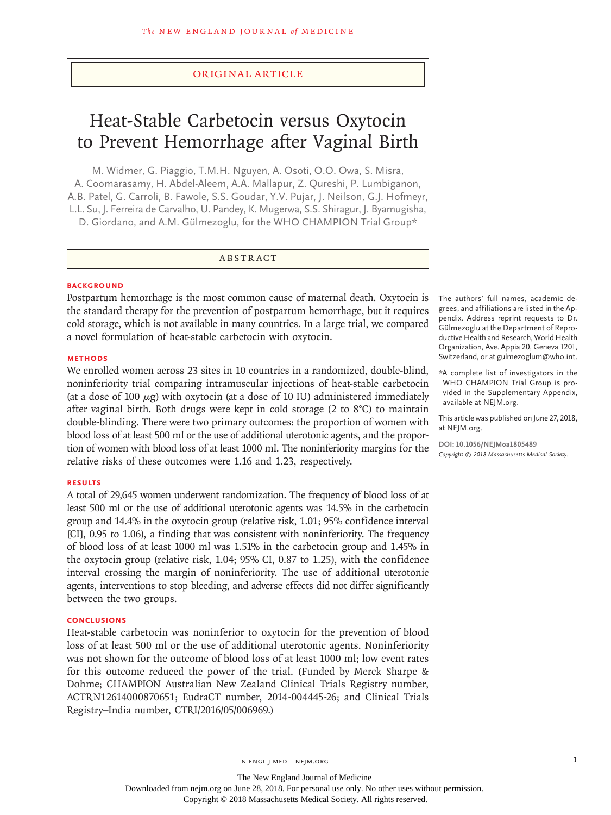# Original Article

# Heat-Stable Carbetocin versus Oxytocin to Prevent Hemorrhage after Vaginal Birth

M. Widmer, G. Piaggio, T.M.H. Nguyen, A. Osoti, O.O. Owa, S. Misra, A. Coomarasamy, H. Abdel‑Aleem, A.A. Mallapur, Z. Qureshi, P. Lumbiganon, A.B. Patel, G. Carroli, B. Fawole, S.S. Goudar, Y.V. Pujar, J. Neilson, G.J. Hofmeyr, L.L. Su, J. Ferreira de Carvalho, U. Pandey, K. Mugerwa, S.S. Shiragur, J. Byamugisha, D. Giordano, and A.M. Gülmezoglu, for the WHO CHAMPION Trial Group\*

#### ABSTRACT

#### **BACKGROUND**

Postpartum hemorrhage is the most common cause of maternal death. Oxytocin is the standard therapy for the prevention of postpartum hemorrhage, but it requires cold storage, which is not available in many countries. In a large trial, we compared a novel formulation of heat-stable carbetocin with oxytocin.

## **METHODS**

We enrolled women across 23 sites in 10 countries in a randomized, double-blind, noninferiority trial comparing intramuscular injections of heat-stable carbetocin (at a dose of 100  $\mu$ g) with oxytocin (at a dose of 10 IU) administered immediately after vaginal birth. Both drugs were kept in cold storage (2 to 8°C) to maintain double-blinding. There were two primary outcomes: the proportion of women with blood loss of at least 500 ml or the use of additional uterotonic agents, and the proportion of women with blood loss of at least 1000 ml. The noninferiority margins for the relative risks of these outcomes were 1.16 and 1.23, respectively.

#### **RESULTS**

A total of 29,645 women underwent randomization. The frequency of blood loss of at least 500 ml or the use of additional uterotonic agents was 14.5% in the carbetocin group and 14.4% in the oxytocin group (relative risk, 1.01; 95% confidence interval [CI], 0.95 to 1.06), a finding that was consistent with noninferiority. The frequency of blood loss of at least 1000 ml was 1.51% in the carbetocin group and 1.45% in the oxytocin group (relative risk, 1.04; 95% CI, 0.87 to 1.25), with the confidence interval crossing the margin of noninferiority. The use of additional uterotonic agents, interventions to stop bleeding, and adverse effects did not differ significantly between the two groups.

# **CONCLUSIONS**

Heat-stable carbetocin was noninferior to oxytocin for the prevention of blood loss of at least 500 ml or the use of additional uterotonic agents. Noninferiority was not shown for the outcome of blood loss of at least 1000 ml; low event rates for this outcome reduced the power of the trial. (Funded by Merck Sharpe & Dohme; CHAMPION Australian New Zealand Clinical Trials Registry number, ACTRN12614000870651; EudraCT number, 2014-004445-26; and Clinical Trials Registry–India number, CTRI/2016/05/006969.)

The authors' full names, academic degrees, and affiliations are listed in the Ap‑ pendix. Address reprint requests to Dr. Gülmezoglu at the Department of Repro‑ ductive Health and Research, World Health Organization, Ave. Appia 20, Geneva 1201, Switzerland, or at gulmezoglum@who.int.

\*A complete list of investigators in the WHO CHAMPION Trial Group is provided in the Supplementary Appendix, available at NEJM.org.

This article was published on June 27, 2018, at NEJM.org.

**DOI: 10.1056/NEJMoa1805489** *Copyright © 2018 Massachusetts Medical Society.*

The New England Journal of Medicine Downloaded from nejm.org on June 28, 2018. For personal use only. No other uses without permission. Copyright © 2018 Massachusetts Medical Society. All rights reserved.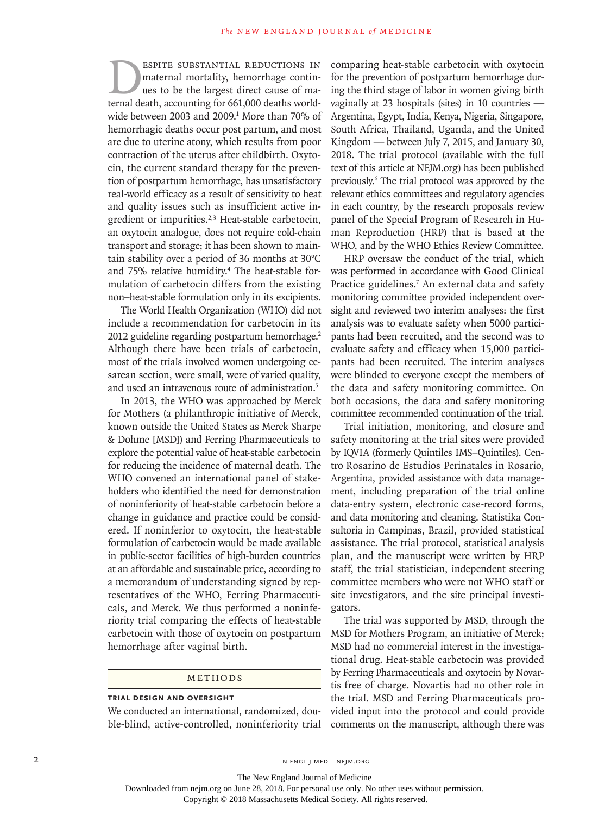ESPITE SUBSTANTIAL REDUCTIONS IN<br>maternal mortality, hemorrhage continues to be the largest direct cause of ma-<br>ternal death. accounting for 661.000 deaths worldmaternal mortality, hemorrhage continues to be the largest direct cause of maternal death, accounting for 661,000 deaths worldwide between 2003 and 2009.1 More than 70% of hemorrhagic deaths occur post partum, and most are due to uterine atony, which results from poor contraction of the uterus after childbirth. Oxytocin, the current standard therapy for the prevention of postpartum hemorrhage, has unsatisfactory real-world efficacy as a result of sensitivity to heat and quality issues such as insufficient active ingredient or impurities.<sup>2,3</sup> Heat-stable carbetocin, an oxytocin analogue, does not require cold-chain transport and storage; it has been shown to maintain stability over a period of 36 months at 30°C and 75% relative humidity.<sup>4</sup> The heat-stable formulation of carbetocin differs from the existing non–heat-stable formulation only in its excipients.

The World Health Organization (WHO) did not include a recommendation for carbetocin in its 2012 guideline regarding postpartum hemorrhage.<sup>2</sup> Although there have been trials of carbetocin, most of the trials involved women undergoing cesarean section, were small, were of varied quality, and used an intravenous route of administration.<sup>5</sup>

In 2013, the WHO was approached by Merck for Mothers (a philanthropic initiative of Merck, known outside the United States as Merck Sharpe & Dohme [MSD]) and Ferring Pharmaceuticals to explore the potential value of heat-stable carbetocin for reducing the incidence of maternal death. The WHO convened an international panel of stakeholders who identified the need for demonstration of noninferiority of heat-stable carbetocin before a change in guidance and practice could be considered. If noninferior to oxytocin, the heat-stable formulation of carbetocin would be made available in public-sector facilities of high-burden countries at an affordable and sustainable price, according to a memorandum of understanding signed by representatives of the WHO, Ferring Pharmaceuticals, and Merck. We thus performed a noninferiority trial comparing the effects of heat-stable carbetocin with those of oxytocin on postpartum hemorrhage after vaginal birth.

#### Methods

#### **Trial Design and Oversight**

We conducted an international, randomized, double-blind, active-controlled, noninferiority trial comparing heat-stable carbetocin with oxytocin for the prevention of postpartum hemorrhage during the third stage of labor in women giving birth vaginally at 23 hospitals (sites) in 10 countries — Argentina, Egypt, India, Kenya, Nigeria, Singapore, South Africa, Thailand, Uganda, and the United Kingdom — between July 7, 2015, and January 30, 2018. The trial protocol (available with the full text of this article at NEJM.org) has been published previously.6 The trial protocol was approved by the relevant ethics committees and regulatory agencies in each country, by the research proposals review panel of the Special Program of Research in Human Reproduction (HRP) that is based at the WHO, and by the WHO Ethics Review Committee.

HRP oversaw the conduct of the trial, which was performed in accordance with Good Clinical Practice guidelines.<sup>7</sup> An external data and safety monitoring committee provided independent oversight and reviewed two interim analyses: the first analysis was to evaluate safety when 5000 participants had been recruited, and the second was to evaluate safety and efficacy when 15,000 participants had been recruited. The interim analyses were blinded to everyone except the members of the data and safety monitoring committee. On both occasions, the data and safety monitoring committee recommended continuation of the trial.

Trial initiation, monitoring, and closure and safety monitoring at the trial sites were provided by IQVIA (formerly Quintiles IMS–Quintiles). Centro Rosarino de Estudios Perinatales in Rosario, Argentina, provided assistance with data management, including preparation of the trial online data-entry system, electronic case-record forms, and data monitoring and cleaning. Statistika Consultoria in Campinas, Brazil, provided statistical assistance. The trial protocol, statistical analysis plan, and the manuscript were written by HRP staff, the trial statistician, independent steering committee members who were not WHO staff or site investigators, and the site principal investigators.

The trial was supported by MSD, through the MSD for Mothers Program, an initiative of Merck; MSD had no commercial interest in the investigational drug. Heat-stable carbetocin was provided by Ferring Pharmaceuticals and oxytocin by Novartis free of charge. Novartis had no other role in the trial. MSD and Ferring Pharmaceuticals provided input into the protocol and could provide comments on the manuscript, although there was

2 N ENGL J MED NEJM.ORG

The New England Journal of Medicine Downloaded from nejm.org on June 28, 2018. For personal use only. No other uses without permission.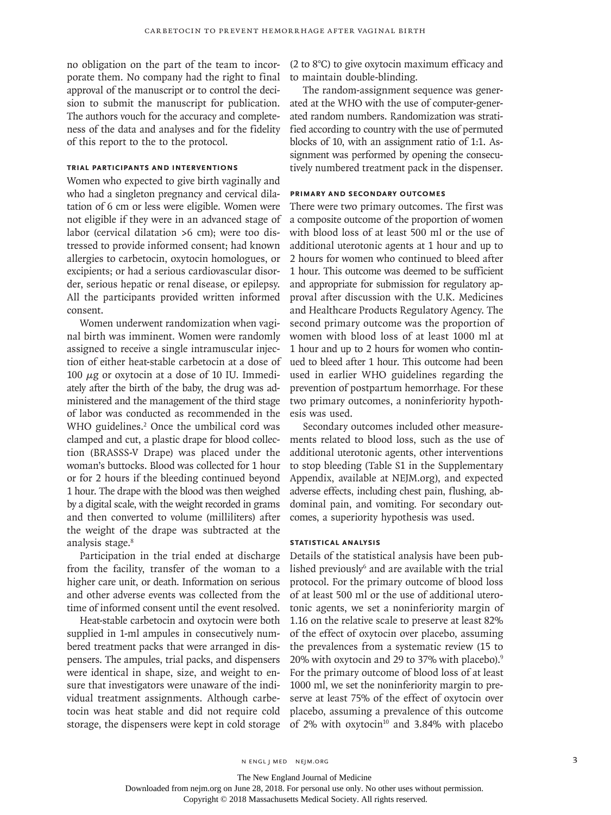no obligation on the part of the team to incorporate them. No company had the right to final approval of the manuscript or to control the decision to submit the manuscript for publication. The authors vouch for the accuracy and completeness of the data and analyses and for the fidelity of this report to the to the protocol.

# **Trial Participants and Interventions**

Women who expected to give birth vaginally and who had a singleton pregnancy and cervical dilatation of 6 cm or less were eligible. Women were not eligible if they were in an advanced stage of labor (cervical dilatation >6 cm); were too distressed to provide informed consent; had known allergies to carbetocin, oxytocin homologues, or excipients; or had a serious cardiovascular disorder, serious hepatic or renal disease, or epilepsy. All the participants provided written informed consent.

Women underwent randomization when vaginal birth was imminent. Women were randomly assigned to receive a single intramuscular injection of either heat-stable carbetocin at a dose of 100  $\mu$ g or oxytocin at a dose of 10 IU. Immediately after the birth of the baby, the drug was administered and the management of the third stage of labor was conducted as recommended in the WHO guidelines.<sup>2</sup> Once the umbilical cord was clamped and cut, a plastic drape for blood collection (BRASSS-V Drape) was placed under the woman's buttocks. Blood was collected for 1 hour or for 2 hours if the bleeding continued beyond 1 hour. The drape with the blood was then weighed by a digital scale, with the weight recorded in grams and then converted to volume (milliliters) after the weight of the drape was subtracted at the analysis stage.<sup>8</sup>

Participation in the trial ended at discharge from the facility, transfer of the woman to a higher care unit, or death. Information on serious and other adverse events was collected from the time of informed consent until the event resolved.

Heat-stable carbetocin and oxytocin were both supplied in 1-ml ampules in consecutively numbered treatment packs that were arranged in dispensers. The ampules, trial packs, and dispensers were identical in shape, size, and weight to ensure that investigators were unaware of the individual treatment assignments. Although carbetocin was heat stable and did not require cold storage, the dispensers were kept in cold storage (2 to 8°C) to give oxytocin maximum efficacy and to maintain double-blinding.

The random-assignment sequence was generated at the WHO with the use of computer-generated random numbers. Randomization was stratified according to country with the use of permuted blocks of 10, with an assignment ratio of 1:1. Assignment was performed by opening the consecutively numbered treatment pack in the dispenser.

## **Primary and Secondary Outcomes**

There were two primary outcomes. The first was a composite outcome of the proportion of women with blood loss of at least 500 ml or the use of additional uterotonic agents at 1 hour and up to 2 hours for women who continued to bleed after 1 hour. This outcome was deemed to be sufficient and appropriate for submission for regulatory approval after discussion with the U.K. Medicines and Healthcare Products Regulatory Agency. The second primary outcome was the proportion of women with blood loss of at least 1000 ml at 1 hour and up to 2 hours for women who continued to bleed after 1 hour. This outcome had been used in earlier WHO guidelines regarding the prevention of postpartum hemorrhage. For these two primary outcomes, a noninferiority hypothesis was used.

Secondary outcomes included other measurements related to blood loss, such as the use of additional uterotonic agents, other interventions to stop bleeding (Table S1 in the Supplementary Appendix, available at NEJM.org), and expected adverse effects, including chest pain, flushing, abdominal pain, and vomiting. For secondary outcomes, a superiority hypothesis was used.

#### **Statistical Analysis**

Details of the statistical analysis have been published previously<sup>6</sup> and are available with the trial protocol. For the primary outcome of blood loss of at least 500 ml or the use of additional uterotonic agents, we set a noninferiority margin of 1.16 on the relative scale to preserve at least 82% of the effect of oxytocin over placebo, assuming the prevalences from a systematic review (15 to 20% with oxytocin and 29 to 37% with placebo).9 For the primary outcome of blood loss of at least 1000 ml, we set the noninferiority margin to preserve at least 75% of the effect of oxytocin over placebo, assuming a prevalence of this outcome of 2% with  $oxytocin^{10}$  and 3.84% with placebo

The New England Journal of Medicine

Downloaded from nejm.org on June 28, 2018. For personal use only. No other uses without permission.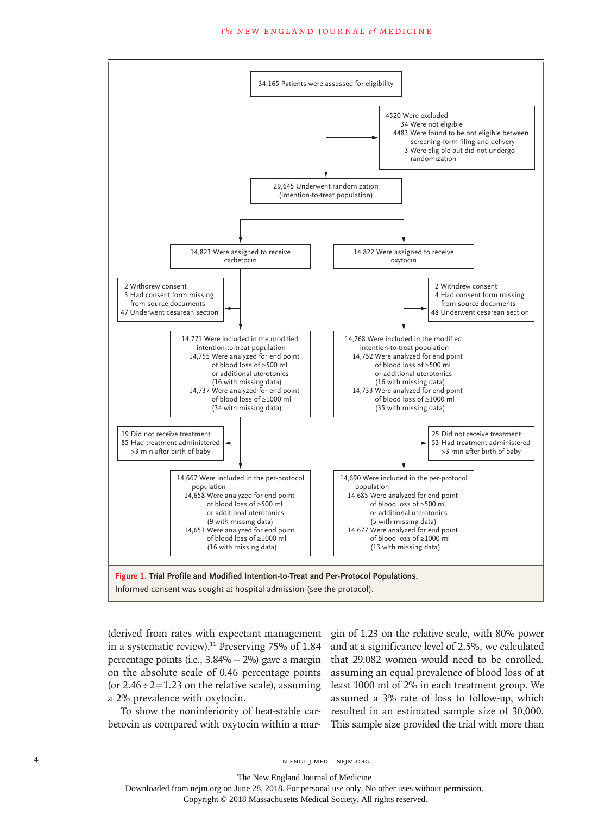

in a systematic review).<sup>11</sup> Preserving 75% of  $1.84$ percentage points (i.e., 3.84% − 2%) gave a margin on the absolute scale of 0.46 percentage points (or  $2.46 \div 2 = 1.23$  on the relative scale), assuming a 2% prevalence with oxytocin.

To show the noninferiority of heat-stable carbetocin as compared with oxytocin within a mar-

(derived from rates with expectant management gin of 1.23 on the relative scale, with 80% power and at a significance level of 2.5%, we calculated that 29,082 women would need to be enrolled, assuming an equal prevalence of blood loss of at least 1000 ml of 2% in each treatment group. We assumed a 3% rate of loss to follow-up, which resulted in an estimated sample size of 30,000. This sample size provided the trial with more than

The New England Journal of Medicine Downloaded from nejm.org on June 28, 2018. For personal use only. No other uses without permission.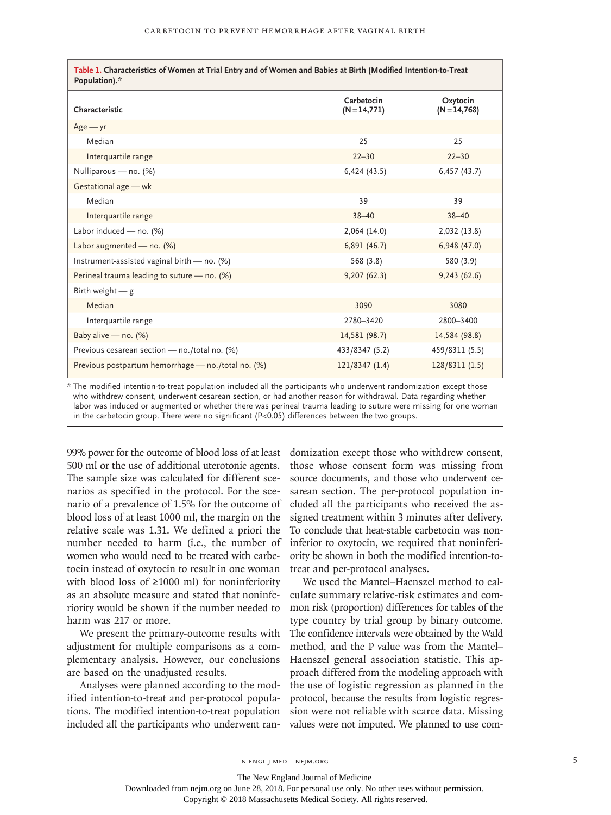| Table 1. Characteristics of Women at Trial Entry and of Women and Babies at Birth (Modified Intention-to-Treat<br>Population).* |                            |                             |  |
|---------------------------------------------------------------------------------------------------------------------------------|----------------------------|-----------------------------|--|
| Characteristic                                                                                                                  | Carbetocin<br>$(N=14,771)$ | Oxytocin<br>$(N = 14, 768)$ |  |
| $Age - yr$                                                                                                                      |                            |                             |  |
| Median                                                                                                                          | 25                         | 25                          |  |
| Interquartile range                                                                                                             | $22 - 30$                  | $22 - 30$                   |  |
| Nulliparous - no. (%)                                                                                                           | 6,424(43.5)                | 6,457(43.7)                 |  |
| Gestational age - wk                                                                                                            |                            |                             |  |
| Median                                                                                                                          | 39                         | 39                          |  |
| Interquartile range                                                                                                             | $38 - 40$                  | $38 - 40$                   |  |
| Labor induced - no. (%)                                                                                                         | 2,064(14.0)                | 2,032 (13.8)                |  |
| Labor augmented - no. $(\%)$                                                                                                    | 6,891(46.7)                | 6,948 (47.0)                |  |
| Instrument-assisted vaginal birth - no. (%)                                                                                     | 568 (3.8)                  | 580 (3.9)                   |  |
| Perineal trauma leading to suture - no. (%)                                                                                     | 9,207(62.3)                | 9,243(62.6)                 |  |
| Birth weight $-$ g                                                                                                              |                            |                             |  |
| Median                                                                                                                          | 3090                       | 3080                        |  |
| Interquartile range                                                                                                             | 2780-3420                  | 2800-3400                   |  |
| Baby alive - no. (%)                                                                                                            | 14,581 (98.7)              | 14,584 (98.8)               |  |
| Previous cesarean section - no./total no. (%)                                                                                   | 433/8347 (5.2)             | 459/8311 (5.5)              |  |
| Previous postpartum hemorrhage - no./total no. (%)                                                                              | 121/8347(1.4)              | 128/8311 (1.5)              |  |

\* The modified intention-to-treat population included all the participants who underwent randomization except those who withdrew consent, underwent cesarean section, or had another reason for withdrawal. Data regarding whether labor was induced or augmented or whether there was perineal trauma leading to suture were missing for one woman in the carbetocin group. There were no significant (P<0.05) differences between the two groups.

99% power for the outcome of blood loss of at least 500 ml or the use of additional uterotonic agents. The sample size was calculated for different scenarios as specified in the protocol. For the scenario of a prevalence of 1.5% for the outcome of blood loss of at least 1000 ml, the margin on the relative scale was 1.31. We defined a priori the number needed to harm (i.e., the number of women who would need to be treated with carbetocin instead of oxytocin to result in one woman with blood loss of ≥1000 ml) for noninferiority as an absolute measure and stated that noninferiority would be shown if the number needed to harm was 217 or more.

We present the primary-outcome results with adjustment for multiple comparisons as a complementary analysis. However, our conclusions are based on the unadjusted results.

Analyses were planned according to the modified intention-to-treat and per-protocol populations. The modified intention-to-treat population included all the participants who underwent randomization except those who withdrew consent, those whose consent form was missing from source documents, and those who underwent cesarean section. The per-protocol population included all the participants who received the assigned treatment within 3 minutes after delivery. To conclude that heat-stable carbetocin was noninferior to oxytocin, we required that noninferiority be shown in both the modified intention-totreat and per-protocol analyses.

We used the Mantel–Haenszel method to calculate summary relative-risk estimates and common risk (proportion) differences for tables of the type country by trial group by binary outcome. The confidence intervals were obtained by the Wald method, and the P value was from the Mantel– Haenszel general association statistic. This approach differed from the modeling approach with the use of logistic regression as planned in the protocol, because the results from logistic regression were not reliable with scarce data. Missing values were not imputed. We planned to use com-

The New England Journal of Medicine

Downloaded from nejm.org on June 28, 2018. For personal use only. No other uses without permission.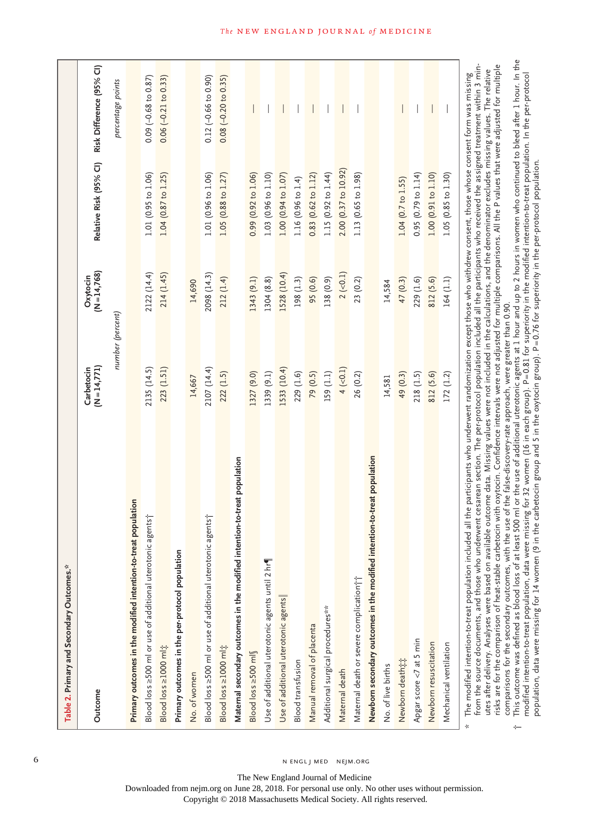| Table 2. Primary and Secondary Outcomes.*                                                                                                                                                                                                                                                                                                                                                                                                                                                                                                                        |                               |                          |                        |                                   |
|------------------------------------------------------------------------------------------------------------------------------------------------------------------------------------------------------------------------------------------------------------------------------------------------------------------------------------------------------------------------------------------------------------------------------------------------------------------------------------------------------------------------------------------------------------------|-------------------------------|--------------------------|------------------------|-----------------------------------|
| Outcome                                                                                                                                                                                                                                                                                                                                                                                                                                                                                                                                                          | $(N = 14, 771)$<br>Carbetocin | $(N=14,768)$<br>Oxytocin | Relative Risk (95% CI) | Risk Difference (95% CI)          |
|                                                                                                                                                                                                                                                                                                                                                                                                                                                                                                                                                                  | number (percent)              |                          |                        | percentage points                 |
| Primary outcomes in the modified intention-to-treat population                                                                                                                                                                                                                                                                                                                                                                                                                                                                                                   |                               |                          |                        |                                   |
| Blood loss ≥500 ml or use of additional uterotonic agents†                                                                                                                                                                                                                                                                                                                                                                                                                                                                                                       | 2135 (14.5)                   | 2122 (14.4)              | 1.01(0.95 to 1.06)     | $0.09$ ( $-0.68$ to $0.87$ )      |
| Blood loss ≥1000 ml;                                                                                                                                                                                                                                                                                                                                                                                                                                                                                                                                             | 223 (1.51)                    | 214 (1.45)               | 1.04 (0.87 to 1.25)    | $0.06 (-0.21 to 0.33)$            |
| Primary outcomes in the per-protocol population                                                                                                                                                                                                                                                                                                                                                                                                                                                                                                                  |                               |                          |                        |                                   |
| No. of women                                                                                                                                                                                                                                                                                                                                                                                                                                                                                                                                                     | 14,667                        | 14,690                   |                        |                                   |
| Blood loss ≥500 ml or use of additional uterotonic agents†                                                                                                                                                                                                                                                                                                                                                                                                                                                                                                       | 2107 (14.4)                   | 2098 (14.3)              | 1.01 (0.96 to 1.06)    | $0.12 (-0.66 to 0.90)$            |
| Blood loss ≥1000 ml;                                                                                                                                                                                                                                                                                                                                                                                                                                                                                                                                             | 222(1.5)                      | 212 (1.4)                | 1.05 (0.88 to 1.27)    | $0.08$ $(-0.20 \text{ to } 0.35)$ |
| Maternal secondary outcomes in the modified intention-to-treat population                                                                                                                                                                                                                                                                                                                                                                                                                                                                                        |                               |                          |                        |                                   |
| Blood loss ≥500 ml                                                                                                                                                                                                                                                                                                                                                                                                                                                                                                                                               | 1327 (9.0)                    | 1343 (9.1)               | 0.99 (0.92 to 1.06)    |                                   |
| Use of additional uterotonic agents until 2 hr                                                                                                                                                                                                                                                                                                                                                                                                                                                                                                                   | 1339 (9.1)                    | 1304 (8.8)               | 1.03(0.96 to 1.10)     |                                   |
| Use of additional uterotonic agents                                                                                                                                                                                                                                                                                                                                                                                                                                                                                                                              | 1533 (10.4)                   | 1528 (10.4)              | 1.00(0.94 to 1.07)     |                                   |
| <b>Blood transfusion</b>                                                                                                                                                                                                                                                                                                                                                                                                                                                                                                                                         | 229 (1.6)                     | 198 (1.3)                | 1.16(0.96 to 1.4)      |                                   |
| Manual removal of placenta                                                                                                                                                                                                                                                                                                                                                                                                                                                                                                                                       | 79 (0.5)                      | 95 (0.6)                 | 0.83 (0.62 to 1.12)    |                                   |
| Additional surgical procedures**                                                                                                                                                                                                                                                                                                                                                                                                                                                                                                                                 | 159 (1.1)                     | 138 (0.9)                | 1.15 (0.92 to 1.44)    |                                   |
| Maternal death                                                                                                                                                                                                                                                                                                                                                                                                                                                                                                                                                   | $4 (-0.1)$                    | $2 (-0.1)$               | 2.00 (0.37 to 10.92)   |                                   |
| Maternal death or severe complication it                                                                                                                                                                                                                                                                                                                                                                                                                                                                                                                         | 26 (0.2)                      | 23 (0.2)                 | 1.13(0.65 to 1.98)     |                                   |
| Newborn secondary outcomes in the modified intention-to-treat population                                                                                                                                                                                                                                                                                                                                                                                                                                                                                         |                               |                          |                        |                                   |
| No. of live births                                                                                                                                                                                                                                                                                                                                                                                                                                                                                                                                               | 14,581                        | 14,584                   |                        |                                   |
| Newborn death##                                                                                                                                                                                                                                                                                                                                                                                                                                                                                                                                                  | 49 (0.3)                      | 47 (0.3)                 | 1.04 (0.7 to 1.55)     |                                   |
| Apgar score <7 at 5 min                                                                                                                                                                                                                                                                                                                                                                                                                                                                                                                                          | 218(1.5)                      | 229 (1.6)                | 0.95(0.79 to 1.14)     |                                   |
| Newborn resuscitation                                                                                                                                                                                                                                                                                                                                                                                                                                                                                                                                            | 812 (5.6)                     | 812 (5.6)                | 1.00 (0.91 to 1.10)    |                                   |
| Mechanical ventilation                                                                                                                                                                                                                                                                                                                                                                                                                                                                                                                                           | 172(1.2)                      | 164 (1.1)                | 1.05 (0.85 to 1.30)    |                                   |
| from the source documents, and those who underwent cesarean section. The per-protocol population included all the participants who received the assigned treatment within 3 min-<br>utes after delivery. Analyses were based on available outcome data. Missing values were not included in the calculations, and the denominator excludes missing values. The relative<br>ed all the participants who underwent randomization except those who withdrew consent, those whose consent form was missing<br>The modified intention-to-treat population includ<br>☆ |                               |                          |                        |                                   |

risks are for the comparison of heat-stable carbetocin with oxytocin. Confidence intervals were not adjusted for multiple comparisons. All the P values that were adjusted for multiple risks are for the comparison of heat-stable carbetocin with oxytocin. Confidence intervals were not adjusted for multiple comparisons. All the P values that were adjusted for multiple utes after delivery. Analyses were based on available outcome data. Missing values were not included in the calculations, and the denominator excludes missing values. The relative comparisons for the secondary outcomes, with the use of the false-discovery-rate approach, were greater than 0.90. comparisons for the secondary outcomes, with the use of the false-discovery-rate approach, were greater than 0.90.

†

This outcome was defined as blood loss of at least 500 ml or the use of additional uterotonic agents at 1 hour and up to 2 hours in women who continued to bleed after 1 hour. In the  $\dagger$  . This outcome was defined as blood loss of at least 500 ml or the use of additional uterotonic agents at 1 hour and up to 2 hours in women who continued to bleed after 1 hour. In the modified intention-to-treat population, data were missing for 32 women (16 in each group). P=0.81 for superiority in the modified intention-to-treat population. In the per-protocol modified intention-to-treat population, data were missing for 32 women (16 in each group). P=0.81 for superiority in the modified intention-to-treat population. In the per-protocol population, data were missing for 14 women (9 in the carbetocin group and 5 in the oxytocin group). P=0.76 for superiority in the per-protocol population. population, data were missing for 14 women (9 in the carbetocin group and 5 in the oxytocin group). P=0.76 for superiority in the per-protocol population.

#### **The NEW ENGLAND JOURNAL of MEDICINE**

6 N ENGL J MED NEJM.ORG

The New England Journal of Medicine Downloaded from nejm.org on June 28, 2018. For personal use only. No other uses without permission.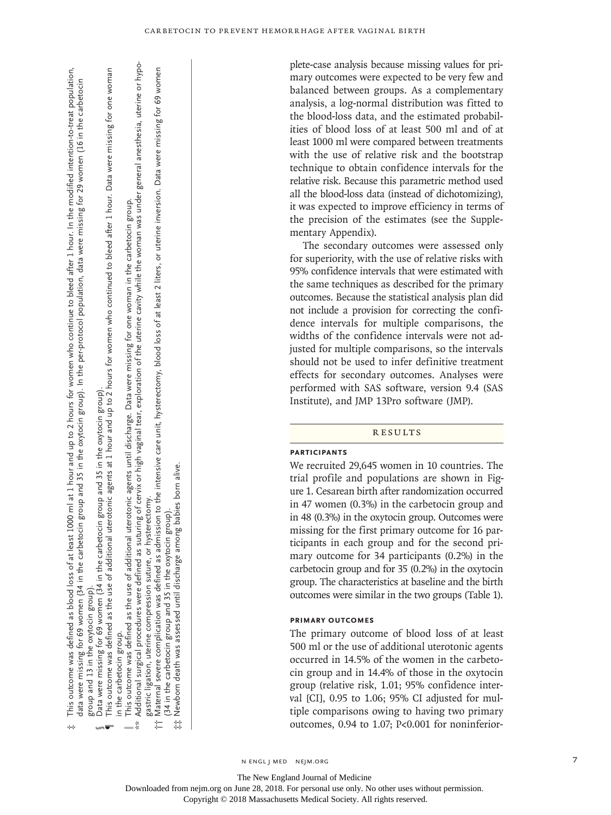This outcome was defined as blood loss of at least 1000 ml at 1 hour and up to 2 hours for women who continue to bleed after 1 hour. In the modified intention-to-treat population,<br>data were missing for 69 women (34 in the Data were missing for 69 women (34 in the carbetocin group and 35 in the oxytocin group).<br>This outcome was defined as the use of additional uterotonic agents at 1 hour and up to 2 hours for women who continued to bleed aft This outcome was defined as blood loss of at least 1000 ml at 1 hour and up to 2 hours for women who continue to bleed after 1 hour. In the modified intention-to-treat population, data were missing for 69 women (34 in the carbetocin group and 35 in the oxytocin group). In the per-protocol population, data were missing for 29 women (16 in the carbetocin in the oxytocin group). group and 13

Data were missing for 69 women (34 in the carbetocin group and 35 in the oxytocin group).

‡

 $\P$  This outcome was defined as the use of additional uterotonic agents at 1 hour and up to 2 hours for women who continued to bleed after 1 hour. Data were missing for one woman in the carbetocin group. in the carbetocin group. ¶§

This outcome was defined as the use of additional uterotonic agents until discharge. Data were missing for one woman in the carbetocin group.<br>Additional surgical procedures were defined as suturing of cervix or high vagina  $\parallel$  This outcome was defined as the use of additional uterotonic agents until discharge. Data were missing for one woman in the carbetocin group.

\*\* Additional surgical procedures were defined as suturing of cervix or high vaginal tear, exploration of the uterine cavity while the woman was under general anesthesia, uterine or hypo‑ gastric ligation, uterine compression suture, or hysterectomy gastric ligation, uterine compression suture, or hysterectomy.

†† Maternal severe complication was defined as admission to the intensive care unit, hysterectomy, blood loss of at least 2 liters, or uterine inversion. Data were missing for 69 women Maternal severe complication was defined as admission to the intensive care unit, hysterectomy, blood loss of at least 2 liters, or uterine inversion. Data were missing for 69 women (34 in the carbetocin group and 35 in the oxytocin group). the carbetocin group and 35 in the oxytocin group)  $(34 in t)$ ⇇

♯

Newborn death was assessed until discharge among babies born alive. ‡‡ Newborn death was assessed until discharge among babies born alive. plete-case analysis because missing values for primary outcomes were expected to be very few and balanced between groups. As a complementary analysis, a log-normal distribution was fitted to the blood-loss data, and the estimated probabilities of blood loss of at least 500 ml and of at least 1000 ml were compared between treatments with the use of relative risk and the bootstrap technique to obtain confidence intervals for the relative risk. Because this parametric method used all the blood-loss data (instead of dichotomizing), it was expected to improve efficiency in terms of the precision of the estimates (see the Supplementary Appendix).

The secondary outcomes were assessed only for superiority, with the use of relative risks with 95% confidence intervals that were estimated with the same techniques as described for the primary outcomes. Because the statistical analysis plan did not include a provision for correcting the confidence intervals for multiple comparisons, the widths of the confidence intervals were not adjusted for multiple comparisons, so the intervals should not be used to infer definitive treatment effects for secondary outcomes. Analyses were performed with SAS software, version 9.4 (SAS Institute), and JMP 13Pro software (JMP).

#### Results

## **Participants**

We recruited 29,645 women in 10 countries. The trial profile and populations are shown in Figure 1. Cesarean birth after randomization occurred in 47 women (0.3%) in the carbetocin group and in 48 (0.3%) in the oxytocin group. Outcomes were missing for the first primary outcome for 16 participants in each group and for the second primary outcome for 34 participants (0.2%) in the carbetocin group and for 35 (0.2%) in the oxytocin group. The characteristics at baseline and the birth outcomes were similar in the two groups (Table 1).

# **Primary Outcomes**

The primary outcome of blood loss of at least 500 ml or the use of additional uterotonic agents occurred in 14.5% of the women in the carbetocin group and in 14.4% of those in the oxytocin group (relative risk, 1.01; 95% confidence interval [CI], 0.95 to 1.06; 95% CI adjusted for multiple comparisons owing to having two primary outcomes, 0.94 to 1.07; P<0.001 for noninferior-

The New England Journal of Medicine

Downloaded from nejm.org on June 28, 2018. For personal use only. No other uses without permission.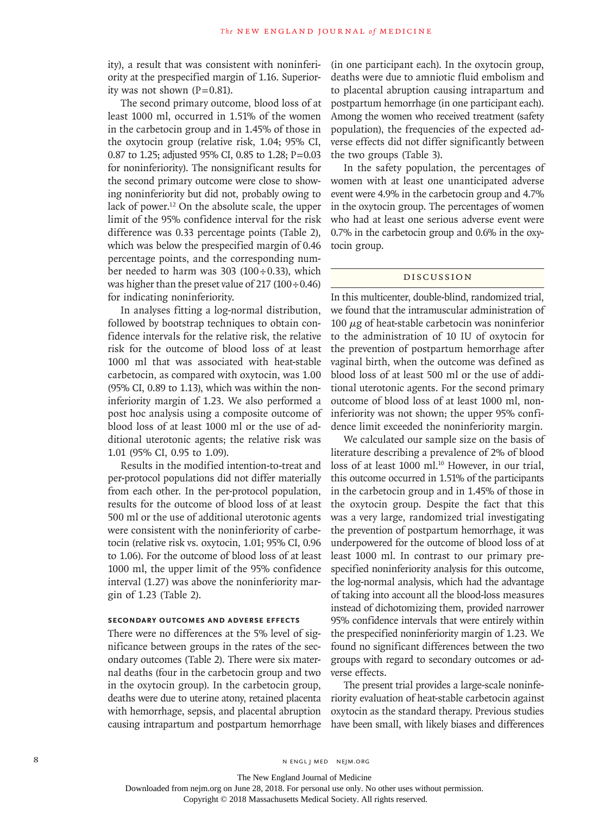ity), a result that was consistent with noninferiority at the prespecified margin of 1.16. Superiority was not shown  $(P=0.81)$ .

The second primary outcome, blood loss of at least 1000 ml, occurred in 1.51% of the women in the carbetocin group and in 1.45% of those in the oxytocin group (relative risk, 1.04; 95% CI, 0.87 to 1.25; adjusted 95% CI, 0.85 to 1.28; P=0.03 for noninferiority). The nonsignificant results for the second primary outcome were close to showing noninferiority but did not, probably owing to lack of power.<sup>12</sup> On the absolute scale, the upper limit of the 95% confidence interval for the risk difference was 0.33 percentage points (Table 2), which was below the prespecified margin of 0.46 percentage points, and the corresponding number needed to harm was 303 (100÷0.33), which was higher than the preset value of  $217 (100 \div 0.46)$ for indicating noninferiority.

In analyses fitting a log-normal distribution, followed by bootstrap techniques to obtain confidence intervals for the relative risk, the relative risk for the outcome of blood loss of at least 1000 ml that was associated with heat-stable carbetocin, as compared with oxytocin, was 1.00 (95% CI, 0.89 to 1.13), which was within the noninferiority margin of 1.23. We also performed a post hoc analysis using a composite outcome of blood loss of at least 1000 ml or the use of additional uterotonic agents; the relative risk was 1.01 (95% CI, 0.95 to 1.09).

Results in the modified intention-to-treat and per-protocol populations did not differ materially from each other. In the per-protocol population, results for the outcome of blood loss of at least 500 ml or the use of additional uterotonic agents were consistent with the noninferiority of carbetocin (relative risk vs. oxytocin, 1.01; 95% CI, 0.96 to 1.06). For the outcome of blood loss of at least 1000 ml, the upper limit of the 95% confidence interval (1.27) was above the noninferiority margin of 1.23 (Table 2).

# **Secondary Outcomes and Adverse Effects**

There were no differences at the 5% level of significance between groups in the rates of the secondary outcomes (Table 2). There were six maternal deaths (four in the carbetocin group and two in the oxytocin group). In the carbetocin group, deaths were due to uterine atony, retained placenta with hemorrhage, sepsis, and placental abruption causing intrapartum and postpartum hemorrhage (in one participant each). In the oxytocin group, deaths were due to amniotic fluid embolism and to placental abruption causing intrapartum and postpartum hemorrhage (in one participant each). Among the women who received treatment (safety population), the frequencies of the expected adverse effects did not differ significantly between the two groups (Table 3).

In the safety population, the percentages of women with at least one unanticipated adverse event were 4.9% in the carbetocin group and 4.7% in the oxytocin group. The percentages of women who had at least one serious adverse event were 0.7% in the carbetocin group and 0.6% in the oxytocin group.

# Discussion

In this multicenter, double-blind, randomized trial, we found that the intramuscular administration of 100  $μ$ g of heat-stable carbetocin was noninferior to the administration of 10 IU of oxytocin for the prevention of postpartum hemorrhage after vaginal birth, when the outcome was defined as blood loss of at least 500 ml or the use of additional uterotonic agents. For the second primary outcome of blood loss of at least 1000 ml, noninferiority was not shown; the upper 95% confidence limit exceeded the noninferiority margin.

We calculated our sample size on the basis of literature describing a prevalence of 2% of blood loss of at least 1000 ml.<sup>10</sup> However, in our trial, this outcome occurred in 1.51% of the participants in the carbetocin group and in 1.45% of those in the oxytocin group. Despite the fact that this was a very large, randomized trial investigating the prevention of postpartum hemorrhage, it was underpowered for the outcome of blood loss of at least 1000 ml. In contrast to our primary prespecified noninferiority analysis for this outcome, the log-normal analysis, which had the advantage of taking into account all the blood-loss measures instead of dichotomizing them, provided narrower 95% confidence intervals that were entirely within the prespecified noninferiority margin of 1.23. We found no significant differences between the two groups with regard to secondary outcomes or adverse effects.

The present trial provides a large-scale noninferiority evaluation of heat-stable carbetocin against oxytocin as the standard therapy. Previous studies have been small, with likely biases and differences

The New England Journal of Medicine Downloaded from nejm.org on June 28, 2018. For personal use only. No other uses without permission.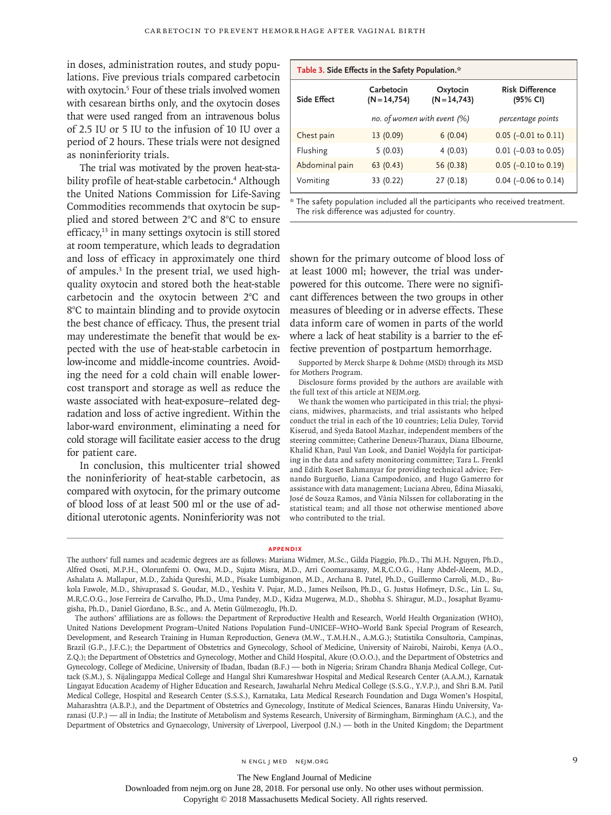in doses, administration routes, and study populations. Five previous trials compared carbetocin with oxytocin.<sup>5</sup> Four of these trials involved women with cesarean births only, and the oxytocin doses that were used ranged from an intravenous bolus of 2.5 IU or 5 IU to the infusion of 10 IU over a period of 2 hours. These trials were not designed as noninferiority trials.

The trial was motivated by the proven heat-stability profile of heat-stable carbetocin.<sup>4</sup> Although the United Nations Commission for Life-Saving Commodities recommends that oxytocin be supplied and stored between 2°C and 8°C to ensure efficacy,<sup>13</sup> in many settings oxytocin is still stored at room temperature, which leads to degradation and loss of efficacy in approximately one third of ampules.<sup>3</sup> In the present trial, we used highquality oxytocin and stored both the heat-stable carbetocin and the oxytocin between 2°C and 8°C to maintain blinding and to provide oxytocin the best chance of efficacy. Thus, the present trial may underestimate the benefit that would be expected with the use of heat-stable carbetocin in low-income and middle-income countries. Avoiding the need for a cold chain will enable lowercost transport and storage as well as reduce the waste associated with heat-exposure–related degradation and loss of active ingredient. Within the labor-ward environment, eliminating a need for cold storage will facilitate easier access to the drug for patient care.

In conclusion, this multicenter trial showed the noninferiority of heat-stable carbetocin, as compared with oxytocin, for the primary outcome of blood loss of at least 500 ml or the use of additional uterotonic agents. Noninferiority was not

| Table 3. Side Effects in the Safety Population.* |                               |                             |                                    |  |  |
|--------------------------------------------------|-------------------------------|-----------------------------|------------------------------------|--|--|
| Side Effect                                      | Carbetocin<br>$(N = 14, 754)$ | Oxytocin<br>$(N = 14, 743)$ | <b>Risk Difference</b><br>(95% CI) |  |  |
|                                                  | no. of women with event (%)   |                             | percentage points                  |  |  |
| Chest pain                                       | 13(0.09)                      | 6(0.04)                     | $0.05$ (-0.01 to 0.11)             |  |  |
| Flushing                                         | 5(0.03)                       | 4(0.03)                     | $0.01$ (-0.03 to 0.05)             |  |  |
| Abdominal pain                                   | 63(0.43)                      | 56 (0.38)                   | $0.05$ (-0.10 to 0.19)             |  |  |
| Vomiting                                         | 33 (0.22)                     | 27(0.18)                    | $0.04$ (-0.06 to 0.14)             |  |  |

\* The safety population included all the participants who received treatment. The risk difference was adjusted for country.

shown for the primary outcome of blood loss of at least 1000 ml; however, the trial was underpowered for this outcome. There were no significant differences between the two groups in other measures of bleeding or in adverse effects. These data inform care of women in parts of the world where a lack of heat stability is a barrier to the effective prevention of postpartum hemorrhage.

Supported by Merck Sharpe & Dohme (MSD) through its MSD for Mothers Program.

Disclosure forms provided by the authors are available with the full text of this article at NEJM.org.

We thank the women who participated in this trial; the physicians, midwives, pharmacists, and trial assistants who helped conduct the trial in each of the 10 countries; Lelia Duley, Torvid Kiserud, and Syeda Batool Mazhar, independent members of the steering committee; Catherine Deneux-Tharaux, Diana Elbourne, Khalid Khan, Paul Van Look, and Daniel Wojdyla for participating in the data and safety monitoring committee; Tara L. Frenkl and Edith Roset Bahmanyar for providing technical advice; Fernando Burgueño, Liana Campodonico, and Hugo Gamerro for assistance with data management; Luciana Abreu, Édina Miasaki, José de Souza Ramos, and Vânia Nilssen for collaborating in the statistical team; and all those not otherwise mentioned above who contributed to the trial.

#### **Appendix**

The authors' full names and academic degrees are as follows: Mariana Widmer, M.Sc., Gilda Piaggio, Ph.D., Thi M.H. Nguyen, Ph.D., Alfred Osoti, M.P.H., Olorunfemi O. Owa, M.D., Sujata Misra, M.D., Arri Coomarasamy, M.R.C.O.G., Hany Abdel-Aleem, M.D., Ashalata A. Mallapur, M.D., Zahida Qureshi, M.D., Pisake Lumbiganon, M.D., Archana B. Patel, Ph.D., Guillermo Carroli, M.D., Bukola Fawole, M.D., Shivaprasad S. Goudar, M.D., Yeshita V. Pujar, M.D., James Neilson, Ph.D., G. Justus Hofmeyr, D.Sc., Lin L. Su, M.R.C.O.G., Jose Ferreira de Carvalho, Ph.D., Uma Pandey, M.D., Kidza Mugerwa, M.D., Shobha S. Shiragur, M.D., Josaphat Byamugisha, Ph.D., Daniel Giordano, B.Sc., and A. Metin Gülmezoglu, Ph.D.

The authors' affiliations are as follows: the Department of Reproductive Health and Research, World Health Organization (WHO), United Nations Development Program–United Nations Population Fund–UNICEF–WHO–World Bank Special Program of Research, Development, and Research Training in Human Reproduction, Geneva (M.W., T.M.H.N., A.M.G.); Statistika Consultoria, Campinas, Brazil (G.P., J.F.C.); the Department of Obstetrics and Gynecology, School of Medicine, University of Nairobi, Nairobi, Kenya (A.O., Z.Q.); the Department of Obstetrics and Gynecology, Mother and Child Hospital, Akure (O.O.O.), and the Department of Obstetrics and Gynecology, College of Medicine, University of Ibadan, Ibadan (B.F.) — both in Nigeria; Sriram Chandra Bhanja Medical College, Cuttack (S.M.), S. Nijalingappa Medical College and Hangal Shri Kumareshwar Hospital and Medical Research Center (A.A.M.), Karnatak Lingayat Education Academy of Higher Education and Research, Jawaharlal Nehru Medical College (S.S.G., Y.V.P.), and Shri B.M. Patil Medical College, Hospital and Research Center (S.S.S.), Karnataka, Lata Medical Research Foundation and Daga Women's Hospital, Maharashtra (A.B.P.), and the Department of Obstetrics and Gynecology, Institute of Medical Sciences, Banaras Hindu University, Varanasi (U.P.) — all in India; the Institute of Metabolism and Systems Research, University of Birmingham, Birmingham (A.C.), and the Department of Obstetrics and Gynaecology, University of Liverpool, Liverpool (J.N.) — both in the United Kingdom; the Department

The New England Journal of Medicine

Downloaded from nejm.org on June 28, 2018. For personal use only. No other uses without permission.